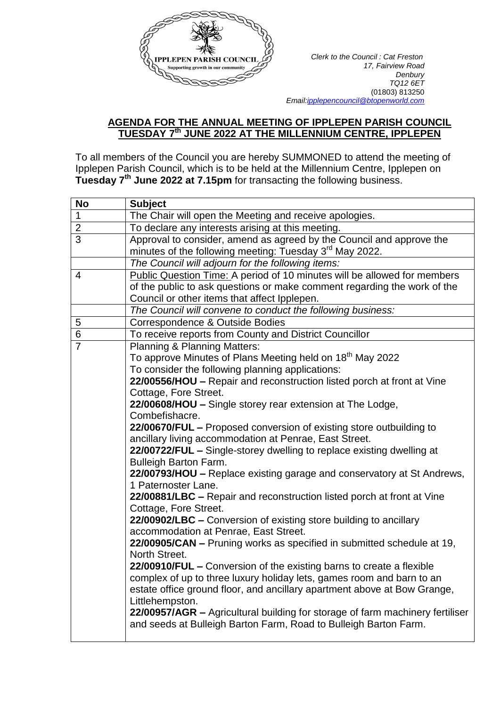

*Clerk to the Council : Cat Freston <i>Clerk to the Council : Cat Freston 17, Fairview Road Denbury TQ12 6ET* (01803) 813250  *Emai[l:ipplepencouncil@btopenworld.com](mailto:ipplepencouncil@btopenworld.com)*

## **AGENDA FOR THE ANNUAL MEETING OF IPPLEPEN PARISH COUNCIL TUESDAY 7 th JUNE 2022 AT THE MILLENNIUM CENTRE, IPPLEPEN**

To all members of the Council you are hereby SUMMONED to attend the meeting of Ipplepen Parish Council, which is to be held at the Millennium Centre, Ipplepen on **Tuesday 7 th June 2022 at 7.15pm** for transacting the following business.

| <b>No</b>      | <b>Subject</b>                                                                                        |
|----------------|-------------------------------------------------------------------------------------------------------|
| $\mathbf 1$    | The Chair will open the Meeting and receive apologies.                                                |
| $\overline{2}$ | To declare any interests arising at this meeting.                                                     |
| 3              | Approval to consider, amend as agreed by the Council and approve the                                  |
|                | minutes of the following meeting: Tuesday 3 <sup>rd</sup> May 2022.                                   |
|                | The Council will adjourn for the following items:                                                     |
| 4              | Public Question Time: A period of 10 minutes will be allowed for members                              |
|                | of the public to ask questions or make comment regarding the work of the                              |
|                | Council or other items that affect Ipplepen.                                                          |
|                | The Council will convene to conduct the following business:                                           |
| 5              | Correspondence & Outside Bodies                                                                       |
| 6              | To receive reports from County and District Councillor                                                |
| $\overline{7}$ | <b>Planning &amp; Planning Matters:</b>                                                               |
|                | To approve Minutes of Plans Meeting held on 18 <sup>th</sup> May 2022                                 |
|                | To consider the following planning applications:                                                      |
|                | 22/00556/HOU - Repair and reconstruction listed porch at front at Vine                                |
|                | Cottage, Fore Street.                                                                                 |
|                | 22/00608/HOU - Single storey rear extension at The Lodge,                                             |
|                | Combefishacre.                                                                                        |
|                | 22/00670/FUL - Proposed conversion of existing store outbuilding to                                   |
|                | ancillary living accommodation at Penrae, East Street.                                                |
|                | 22/00722/FUL - Single-storey dwelling to replace existing dwelling at<br><b>Bulleigh Barton Farm.</b> |
|                | 22/00793/HOU - Replace existing garage and conservatory at St Andrews,                                |
|                | 1 Paternoster Lane.                                                                                   |
|                | 22/00881/LBC - Repair and reconstruction listed porch at front at Vine                                |
|                | Cottage, Fore Street.                                                                                 |
|                | 22/00902/LBC - Conversion of existing store building to ancillary                                     |
|                | accommodation at Penrae, East Street.                                                                 |
|                | 22/00905/CAN - Pruning works as specified in submitted schedule at 19,                                |
|                | North Street.                                                                                         |
|                | 22/00910/FUL - Conversion of the existing barns to create a flexible                                  |
|                | complex of up to three luxury holiday lets, games room and barn to an                                 |
|                | estate office ground floor, and ancillary apartment above at Bow Grange,                              |
|                | Littlehempston.                                                                                       |
|                | 22/00957/AGR - Agricultural building for storage of farm machinery fertiliser                         |
|                | and seeds at Bulleigh Barton Farm, Road to Bulleigh Barton Farm.                                      |
|                |                                                                                                       |